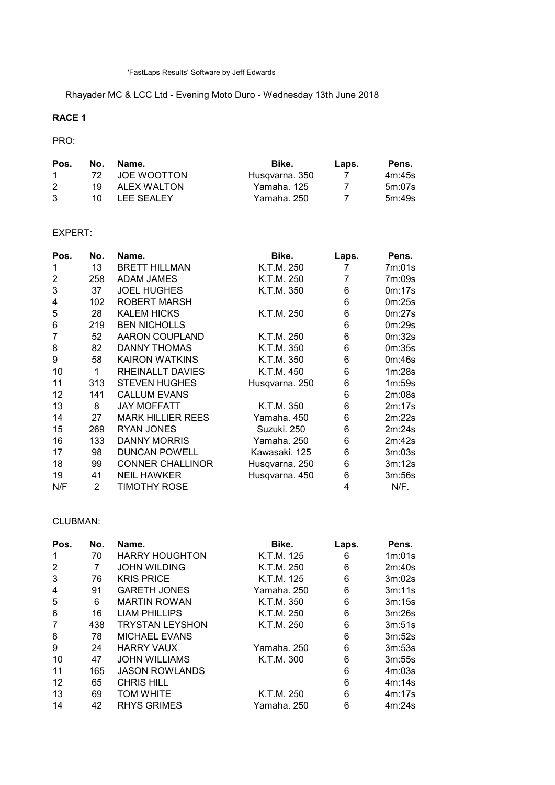Rhayader MC & LCC Ltd - Evening Moto Duro - Wednesday 13th June 2018

# RACE 1

## PRO:

| Pos.         | No. | Name.          | Bike.          | Laps. | Pens.  |
|--------------|-----|----------------|----------------|-------|--------|
| $\mathbf{1}$ |     | 72 JOE WOOTTON | Husqvarna, 350 |       | 4m:45s |
|              | 1Q  | ALEX WALTON    | Yamaha, 125    |       | 5m:07s |
| 3            |     | 10 LEE SEALEY  | Yamaha. 250    |       | 5m:49s |

## EXPERT:

| Pos. | No.            | Name.                    | Bike.          | Laps. | Pens.  |
|------|----------------|--------------------------|----------------|-------|--------|
| 1    | 13             | <b>BRETT HILLMAN</b>     | K.T.M. 250     | 7     | 7m:01s |
| 2    | 258            | <b>ADAM JAMES</b>        | K.T.M. 250     | 7     | 7m:09s |
| 3    | 37             | <b>JOEL HUGHES</b>       | K.T.M. 350     | 6     | 0m:17s |
| 4    | 102            | <b>ROBERT MARSH</b>      |                | 6     | 0m:25s |
| 5    | 28             | <b>KALEM HICKS</b>       | K.T.M. 250     | 6     | 0m:27s |
| 6    | 219            | <b>BEN NICHOLLS</b>      |                | 6     | 0m:29s |
| 7    | 52             | <b>AARON COUPLAND</b>    | K.T.M. 250     | 6     | 0m:32s |
| 8    | 82             | DANNY THOMAS             | K.T.M. 350     | 6     | 0m:35s |
| 9    | 58             | <b>KAIRON WATKINS</b>    | K.T.M. 350     | 6     | 0m:46s |
| 10   | 1              | RHEINALLT DAVIES         | K.T.M. 450     | 6     | 1m:28s |
| 11   | 313            | <b>STEVEN HUGHES</b>     | Husqvarna. 250 | 6     | 1m:59s |
| 12   | 141            | <b>CALLUM EVANS</b>      |                | 6     | 2m:08s |
| 13   | 8              | <b>JAY MOFFATT</b>       | K.T.M. 350     | 6     | 2m:17s |
| 14   | 27             | <b>MARK HILLIER REES</b> | Yamaha, 450    | 6     | 2m:22s |
| 15   | 269            | <b>RYAN JONES</b>        | Suzuki, 250    | 6     | 2m:24s |
| 16   | 133            | <b>DANNY MORRIS</b>      | Yamaha. 250    | 6     | 2m:42s |
| 17   | 98             | <b>DUNCAN POWELL</b>     | Kawasaki. 125  | 6     | 3m:03s |
| 18   | 99             | <b>CONNER CHALLINOR</b>  | Husqvarna. 250 | 6     | 3m:12s |
| 19   | 41             | <b>NEIL HAWKER</b>       | Husqvarna. 450 | 6     | 3m:56s |
| N/F  | $\overline{2}$ | <b>TIMOTHY ROSE</b>      |                | 4     | N/F.   |

#### CLUBMAN:

| Pos. | No. | Name.                  | Bike.       | Laps. | Pens.  |
|------|-----|------------------------|-------------|-------|--------|
|      | 70  | <b>HARRY HOUGHTON</b>  | K.T.M. 125  | 6     | 1m:01s |
| 2    |     | <b>JOHN WILDING</b>    | K.T.M. 250  | 6     | 2m:40s |
| 3    | 76  | <b>KRIS PRICE</b>      | K.T.M. 125  | 6     | 3m:02s |
| 4    | 91  | <b>GARETH JONES</b>    | Yamaha, 250 | 6     | 3m:11s |
| 5    | 6   | <b>MARTIN ROWAN</b>    | K.T.M. 350  | 6     | 3m:15s |
| 6    | 16  | <b>LIAM PHILLIPS</b>   | K.T.M. 250  | 6     | 3m:26s |
| 7    | 438 | <b>TRYSTAN LEYSHON</b> | K.T.M. 250  | 6     | 3m:51s |
| 8    | 78  | <b>MICHAEL EVANS</b>   |             | 6     | 3m:52s |
| 9    | 24  | <b>HARRY VAUX</b>      | Yamaha, 250 | 6     | 3m:53s |
| 10   | 47  | <b>JOHN WILLIAMS</b>   | K.T.M. 300  | 6     | 3m:55s |
| 11   | 165 | <b>JASON ROWLANDS</b>  |             | 6     | 4m:03s |
| 12   | 65  | <b>CHRIS HILL</b>      |             | 6     | 4m:14s |
| 13   | 69  | <b>TOM WHITE</b>       | K.T.M. 250  | 6     | 4m:17s |
| 14   | 42  | <b>RHYS GRIMES</b>     | Yamaha. 250 | 6     | 4m:24s |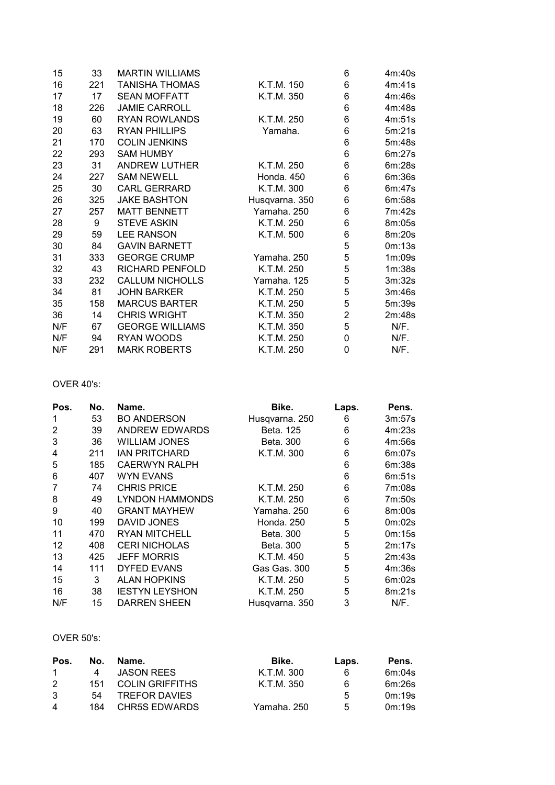| 15  | 33  | <b>MARTIN WILLIAMS</b> |                | 6              | 4m:40s |
|-----|-----|------------------------|----------------|----------------|--------|
| 16  | 221 | <b>TANISHA THOMAS</b>  | K.T.M. 150     | 6              | 4m:41s |
| 17  | 17  | <b>SEAN MOFFATT</b>    | K.T.M. 350     | 6              | 4m:46s |
| 18  | 226 | <b>JAMIE CARROLL</b>   |                | 6              | 4m:48s |
| 19  | 60  | <b>RYAN ROWLANDS</b>   | K.T.M. 250     | 6              | 4m:51s |
| 20  | 63  | <b>RYAN PHILLIPS</b>   | Yamaha.        | 6              | 5m:21s |
| 21  | 170 | <b>COLIN JENKINS</b>   |                | 6              | 5m:48s |
| 22  | 293 | <b>SAM HUMBY</b>       |                | 6              | 6m:27s |
| 23  | 31  | <b>ANDREW LUTHER</b>   | K.T.M. 250     | 6              | 6m:28s |
| 24  | 227 | <b>SAM NEWELL</b>      | Honda. 450     | 6              | 6m:36s |
| 25  | 30  | <b>CARL GERRARD</b>    | K.T.M. 300     | 6              | 6m:47s |
| 26  | 325 | <b>JAKE BASHTON</b>    | Husqvarna. 350 | 6              | 6m:58s |
| 27  | 257 | <b>MATT BENNETT</b>    | Yamaha. 250    | 6              | 7m:42s |
| 28  | 9   | <b>STEVE ASKIN</b>     | K.T.M. 250     | 6              | 8m:05s |
| 29  | 59  | <b>LEE RANSON</b>      | K.T.M. 500     | 6              | 8m:20s |
| 30  | 84  | <b>GAVIN BARNETT</b>   |                | 5              | 0m:13s |
| 31  | 333 | <b>GEORGE CRUMP</b>    | Yamaha. 250    | 5              | 1m:09s |
| 32  | 43  | RICHARD PENFOLD        | K.T.M. 250     | 5              | 1m:38s |
| 33  | 232 | <b>CALLUM NICHOLLS</b> | Yamaha. 125    | 5              | 3m:32s |
| 34  | 81  | <b>JOHN BARKER</b>     | K.T.M. 250     | 5              | 3m:46s |
| 35  | 158 | <b>MARCUS BARTER</b>   | K.T.M. 250     | 5              | 5m:39s |
| 36  | 14  | <b>CHRIS WRIGHT</b>    | K.T.M. 350     | $\overline{2}$ | 2m:48s |
| N/F | 67  | <b>GEORGE WILLIAMS</b> | K.T.M. 350     | 5              | N/F.   |
| N/F | 94  | RYAN WOODS             | K.T.M. 250     | 0              | N/F.   |
| N/F | 291 | <b>MARK ROBERTS</b>    | K.T.M. 250     | 0              | N/F.   |

## OVER 40's:

| Pos. | No. | Name.                 | Bike.          | Laps. | Pens.  |
|------|-----|-----------------------|----------------|-------|--------|
| 1    | 53  | <b>BO ANDERSON</b>    | Husqvarna. 250 | 6     | 3m:57s |
| 2    | 39  | <b>ANDREW EDWARDS</b> | Beta, 125      | 6     | 4m:23s |
| 3    | 36  | <b>WILLIAM JONES</b>  | Beta, 300      | 6     | 4m:56s |
| 4    | 211 | <b>IAN PRITCHARD</b>  | K.T.M. 300     | 6     | 6m:07s |
| 5    | 185 | <b>CAERWYN RALPH</b>  |                | 6     | 6m:38s |
| 6    | 407 | <b>WYN EVANS</b>      |                | 6     | 6m:51s |
| 7    | 74  | <b>CHRIS PRICE</b>    | K.T.M. 250     | 6     | 7m:08s |
| 8    | 49  | LYNDON HAMMONDS       | K.T.M. 250     | 6     | 7m:50s |
| 9    | 40  | <b>GRANT MAYHEW</b>   | Yamaha. 250    | 6     | 8m:00s |
| 10   | 199 | DAVID JONES           | Honda, 250     | 5     | 0m:02s |
| 11   | 470 | <b>RYAN MITCHELL</b>  | Beta, 300      | 5     | 0m:15s |
| 12   | 408 | <b>CERI NICHOLAS</b>  | Beta, 300      | 5     | 2m:17s |
| 13   | 425 | <b>JEFF MORRIS</b>    | K.T.M. 450     | 5     | 2m:43s |
| 14   | 111 | <b>DYFED EVANS</b>    | Gas Gas. 300   | 5     | 4m:36s |
| 15   | 3   | <b>ALAN HOPKINS</b>   | K.T.M. 250     | 5     | 6m:02s |
| 16   | 38  | <b>IESTYN LEYSHON</b> | K.T.M. 250     | 5     | 8m:21s |
| N/F  | 15  | <b>DARREN SHEEN</b>   | Husqvarna. 350 | 3     | N/F.   |

#### OVER 50's:

| Pos.           | No. | Name.                | Bike.       | Laps. | Pens.  |
|----------------|-----|----------------------|-------------|-------|--------|
| $\sim$         | 4   | <b>JASON REES</b>    | K.T.M. 300  | 6     | 6m:04s |
| $\mathcal{P}$  |     | 151 COLIN GRIFFITHS  | K.T.M. 350  | 6     | 6m:26s |
| 3              | 54  | <b>TREFOR DAVIES</b> |             | 5     | 0m:19s |
| $\overline{4}$ |     | 184 CHR5S EDWARDS    | Yamaha, 250 | 5     | 0m:19s |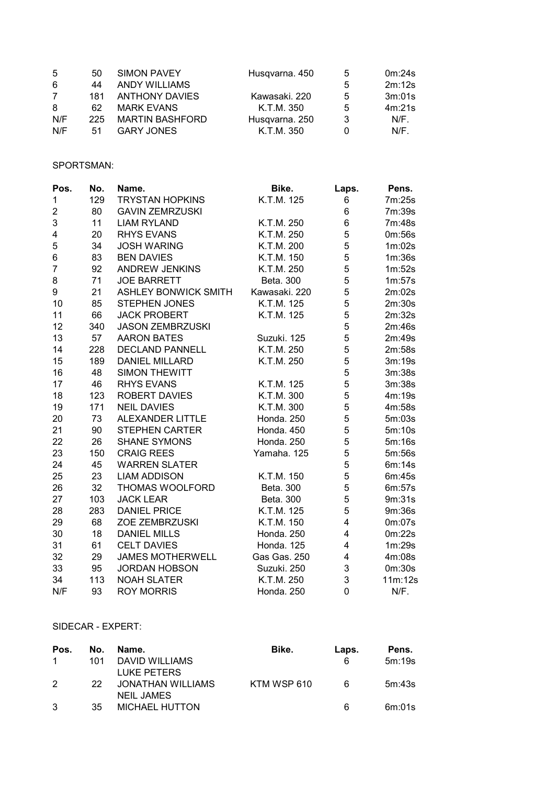| $\overline{5}$ | 50  | SIMON PAVEY            | Husqvarna. 450 | 5 | 0m:24s  |
|----------------|-----|------------------------|----------------|---|---------|
| 6              | 44  | <b>ANDY WILLIAMS</b>   |                | 5 | 2m:12s  |
| $\overline{7}$ | 181 | <b>ANTHONY DAVIES</b>  | Kawasaki, 220  | 5 | 3m:01s  |
| 8              | 62  | <b>MARK EVANS</b>      | K.T.M. 350     | 5 | 4m:21s  |
| N/F            | 225 | <b>MARTIN BASHFORD</b> | Husqvarna. 250 | 3 | $N/F$ . |
| N/F            | 51  | <b>GARY JONES</b>      | K.T.M. 350     |   | $N/F$ . |

## SPORTSMAN:

| Pos.           | No. | Name.                       | Bike.         | Laps. | Pens.   |
|----------------|-----|-----------------------------|---------------|-------|---------|
| 1              | 129 | <b>TRYSTAN HOPKINS</b>      | K.T.M. 125    | 6     | 7m:25s  |
| $\overline{c}$ | 80  | <b>GAVIN ZEMRZUSKI</b>      |               | 6     | 7m:39s  |
| 3              | 11  | <b>LIAM RYLAND</b>          | K.T.M. 250    | 6     | 7m:48s  |
| 4              | 20  | <b>RHYS EVANS</b>           | K.T.M. 250    | 5     | 0m:56s  |
| 5              | 34  | <b>JOSH WARING</b>          | K.T.M. 200    | 5     | 1m:02s  |
| 6              | 83  | <b>BEN DAVIES</b>           | K.T.M. 150    | 5     | 1m:36s  |
| $\overline{7}$ | 92  | <b>ANDREW JENKINS</b>       | K.T.M. 250    | 5     | 1m:52s  |
| 8              | 71  | <b>JOE BARRETT</b>          | Beta. 300     | 5     | 1m:57s  |
| 9              | 21  | <b>ASHLEY BONWICK SMITH</b> | Kawasaki. 220 | 5     | 2m:02s  |
| 10             | 85  | <b>STEPHEN JONES</b>        | K.T.M. 125    | 5     | 2m:30s  |
| 11             | 66  | <b>JACK PROBERT</b>         | K.T.M. 125    | 5     | 2m:32s  |
| 12             | 340 | <b>JASON ZEMBRZUSKI</b>     |               | 5     | 2m:46s  |
| 13             | 57  | <b>AARON BATES</b>          | Suzuki. 125   | 5     | 2m:49s  |
| 14             | 228 | <b>DECLAND PANNELL</b>      | K.T.M. 250    | 5     | 2m:58s  |
| 15             | 189 | <b>DANIEL MILLARD</b>       | K.T.M. 250    | 5     | 3m:19s  |
| 16             | 48  | <b>SIMON THEWITT</b>        |               | 5     | 3m:38s  |
| 17             | 46  | <b>RHYS EVANS</b>           | K.T.M. 125    | 5     | 3m:38s  |
| 18             | 123 | <b>ROBERT DAVIES</b>        | K.T.M. 300    | 5     | 4m:19s  |
| 19             | 171 | <b>NEIL DAVIES</b>          | K.T.M. 300    | 5     | 4m:58s  |
| 20             | 73  | ALEXANDER LITTLE            | Honda. 250    | 5     | 5m:03s  |
| 21             | 90  | <b>STEPHEN CARTER</b>       | Honda. 450    | 5     | 5m:10s  |
| 22             | 26  | <b>SHANE SYMONS</b>         | Honda. 250    | 5     | 5m:16s  |
| 23             | 150 | <b>CRAIG REES</b>           | Yamaha. 125   | 5     | 5m:56s  |
| 24             | 45  | <b>WARREN SLATER</b>        |               | 5     | 6m:14s  |
| 25             | 23  | <b>LIAM ADDISON</b>         | K.T.M. 150    | 5     | 6m:45s  |
| 26             | 32  | THOMAS WOOLFORD             | Beta. 300     | 5     | 6m:57s  |
| 27             | 103 | <b>JACK LEAR</b>            | Beta. 300     | 5     | 9m:31s  |
| 28             | 283 | <b>DANIEL PRICE</b>         | K.T.M. 125    | 5     | 9m:36s  |
| 29             | 68  | <b>ZOE ZEMBRZUSKI</b>       | K.T.M. 150    | 4     | 0m:07s  |
| 30             | 18  | <b>DANIEL MILLS</b>         | Honda. 250    | 4     | 0m:22s  |
| 31             | 61  | <b>CELT DAVIES</b>          | Honda. 125    | 4     | 1m:29s  |
| 32             | 29  | <b>JAMES MOTHERWELL</b>     | Gas Gas. 250  | 4     | 4m:08s  |
| 33             | 95  | <b>JORDAN HOBSON</b>        | Suzuki. 250   | 3     | 0m:30s  |
| 34             | 113 | <b>NOAH SLATER</b>          | K.T.M. 250    | 3     | 11m:12s |
| N/F            | 93  | <b>ROY MORRIS</b>           | Honda. 250    | 0     | N/F.    |

#### SIDECAR - EXPERT:

| Pos.          | No. | Name.                 | Bike.       | Laps. | Pens.  |
|---------------|-----|-----------------------|-------------|-------|--------|
| $\mathbf{1}$  | 101 | DAVID WILLIAMS        |             | 6     | 5m:19s |
|               |     | LUKE PETERS           |             |       |        |
| $\mathcal{P}$ | 22. | JONATHAN WILLIAMS     | KTM WSP 610 | 6     | 5m:43s |
|               |     | <b>NEIL JAMES</b>     |             |       |        |
| 3             | -35 | <b>MICHAEL HUTTON</b> |             | 6     | 6m:01s |